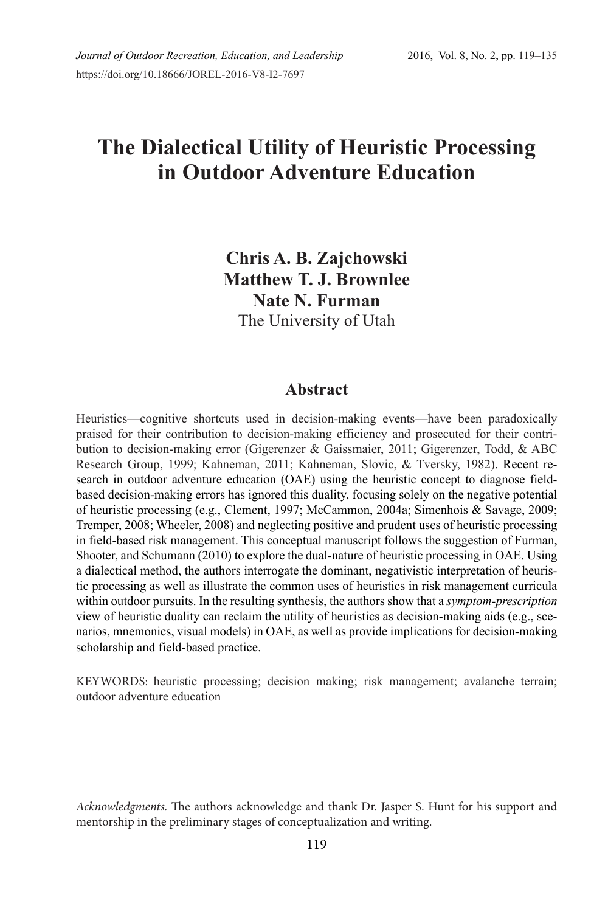# **The Dialectical Utility of Heuristic Processing in Outdoor Adventure Education**

# **Chris A. B. Zajchowski Matthew T. J. Brownlee Nate N. Furman**  The University of Utah

# **Abstract**

Heuristics—cognitive shortcuts used in decision-making events—have been paradoxically praised for their contribution to decision-making efficiency and prosecuted for their contribution to decision-making error (Gigerenzer & Gaissmaier, 2011; Gigerenzer, Todd, & ABC Research Group, 1999; Kahneman, 2011; Kahneman, Slovic, & Tversky, 1982). Recent research in outdoor adventure education (OAE) using the heuristic concept to diagnose fieldbased decision-making errors has ignored this duality, focusing solely on the negative potential of heuristic processing (e.g., Clement, 1997; McCammon, 2004a; Simenhois & Savage, 2009; Tremper, 2008; Wheeler, 2008) and neglecting positive and prudent uses of heuristic processing in field-based risk management. This conceptual manuscript follows the suggestion of Furman, Shooter, and Schumann (2010) to explore the dual-nature of heuristic processing in OAE. Using a dialectical method, the authors interrogate the dominant, negativistic interpretation of heuristic processing as well as illustrate the common uses of heuristics in risk management curricula within outdoor pursuits. In the resulting synthesis, the authors show that a *symptom-prescription* view of heuristic duality can reclaim the utility of heuristics as decision-making aids (e.g., scenarios, mnemonics, visual models) in OAE, as well as provide implications for decision-making scholarship and field-based practice.

KEYWORDS: heuristic processing; decision making; risk management; avalanche terrain; outdoor adventure education

*Acknowledgments.* The authors acknowledge and thank Dr. Jasper S. Hunt for his support and mentorship in the preliminary stages of conceptualization and writing.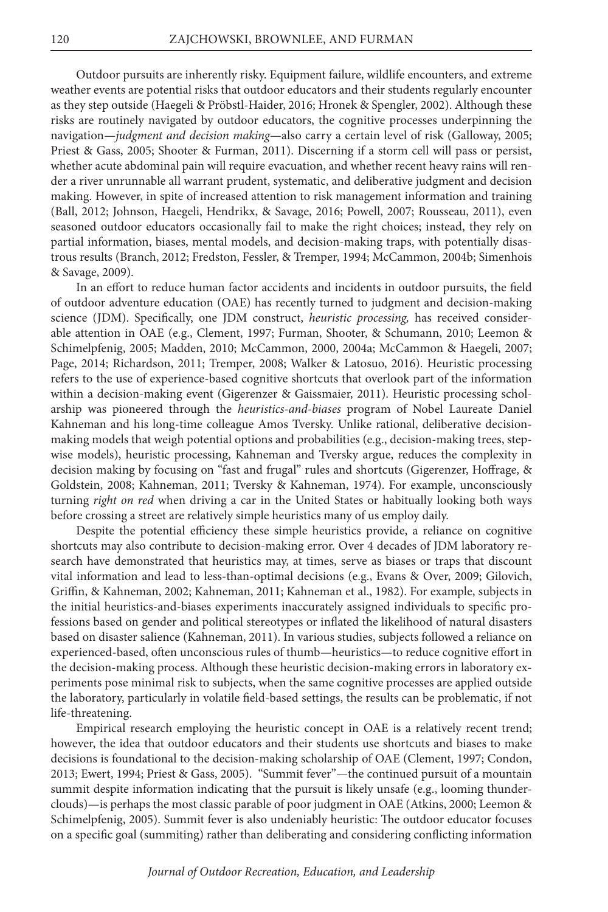Outdoor pursuits are inherently risky. Equipment failure, wildlife encounters, and extreme weather events are potential risks that outdoor educators and their students regularly encounter as they step outside (Haegeli & Pröbstl-Haider, 2016; Hronek & Spengler, 2002). Although these risks are routinely navigated by outdoor educators, the cognitive processes underpinning the navigation—*judgment and decision making*—also carry a certain level of risk (Galloway, 2005; Priest & Gass, 2005; Shooter & Furman, 2011). Discerning if a storm cell will pass or persist, whether acute abdominal pain will require evacuation, and whether recent heavy rains will render a river unrunnable all warrant prudent, systematic, and deliberative judgment and decision making. However, in spite of increased attention to risk management information and training (Ball, 2012; Johnson, Haegeli, Hendrikx, & Savage, 2016; Powell, 2007; Rousseau, 2011), even seasoned outdoor educators occasionally fail to make the right choices; instead, they rely on partial information, biases, mental models, and decision-making traps, with potentially disastrous results (Branch, 2012; Fredston, Fessler, & Tremper, 1994; McCammon, 2004b; Simenhois & Savage, 2009).

In an effort to reduce human factor accidents and incidents in outdoor pursuits, the field of outdoor adventure education (OAE) has recently turned to judgment and decision-making science (JDM). Specifically, one JDM construct, *heuristic processing,* has received considerable attention in OAE (e.g., Clement, 1997; Furman, Shooter, & Schumann, 2010; Leemon & Schimelpfenig, 2005; Madden, 2010; McCammon, 2000, 2004a; McCammon & Haegeli, 2007; Page, 2014; Richardson, 2011; Tremper, 2008; Walker & Latosuo, 2016). Heuristic processing refers to the use of experience-based cognitive shortcuts that overlook part of the information within a decision-making event (Gigerenzer & Gaissmaier, 2011). Heuristic processing scholarship was pioneered through the *heuristics-and-biases* program of Nobel Laureate Daniel Kahneman and his long-time colleague Amos Tversky. Unlike rational, deliberative decisionmaking models that weigh potential options and probabilities (e.g., decision-making trees, stepwise models), heuristic processing, Kahneman and Tversky argue, reduces the complexity in decision making by focusing on "fast and frugal" rules and shortcuts (Gigerenzer, Hoffrage, & Goldstein, 2008; Kahneman, 2011; Tversky & Kahneman, 1974). For example, unconsciously turning *right on red* when driving a car in the United States or habitually looking both ways before crossing a street are relatively simple heuristics many of us employ daily.

Despite the potential efficiency these simple heuristics provide, a reliance on cognitive shortcuts may also contribute to decision-making error. Over 4 decades of JDM laboratory research have demonstrated that heuristics may, at times, serve as biases or traps that discount vital information and lead to less-than-optimal decisions (e.g., Evans & Over, 2009; Gilovich, Griffin, & Kahneman, 2002; Kahneman, 2011; Kahneman et al., 1982). For example, subjects in the initial heuristics-and-biases experiments inaccurately assigned individuals to specific professions based on gender and political stereotypes or inflated the likelihood of natural disasters based on disaster salience (Kahneman, 2011). In various studies, subjects followed a reliance on experienced-based, often unconscious rules of thumb—heuristics—to reduce cognitive effort in the decision-making process. Although these heuristic decision-making errors in laboratory experiments pose minimal risk to subjects, when the same cognitive processes are applied outside the laboratory, particularly in volatile field-based settings, the results can be problematic, if not life-threatening.

Empirical research employing the heuristic concept in OAE is a relatively recent trend; however, the idea that outdoor educators and their students use shortcuts and biases to make decisions is foundational to the decision-making scholarship of OAE (Clement, 1997; Condon, 2013; Ewert, 1994; Priest & Gass, 2005). "Summit fever"—the continued pursuit of a mountain summit despite information indicating that the pursuit is likely unsafe (e.g., looming thunderclouds)—is perhaps the most classic parable of poor judgment in OAE (Atkins, 2000; Leemon & Schimelpfenig, 2005). Summit fever is also undeniably heuristic: The outdoor educator focuses on a specific goal (summiting) rather than deliberating and considering conflicting information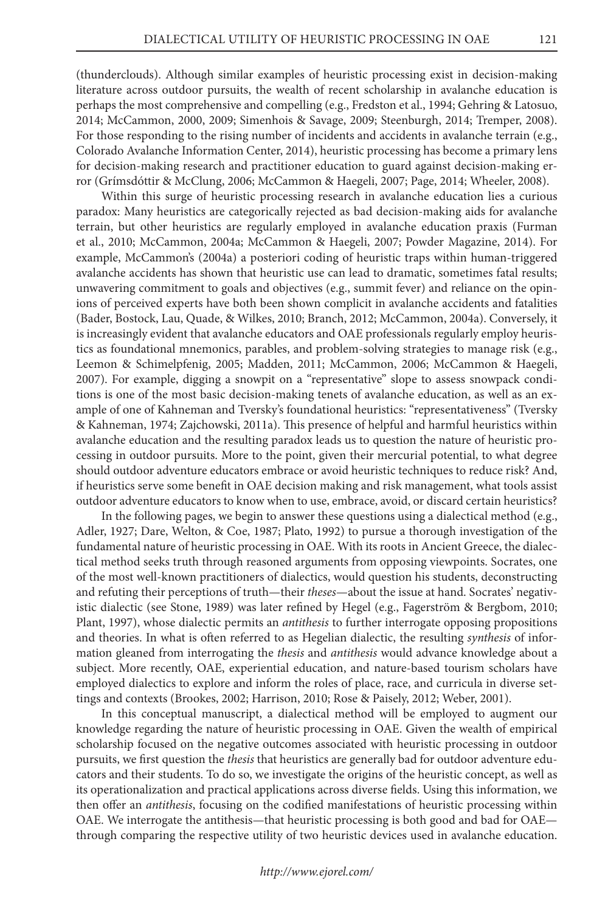(thunderclouds). Although similar examples of heuristic processing exist in decision-making literature across outdoor pursuits, the wealth of recent scholarship in avalanche education is perhaps the most comprehensive and compelling (e.g., Fredston et al., 1994; Gehring & Latosuo, 2014; McCammon, 2000, 2009; Simenhois & Savage, 2009; Steenburgh, 2014; Tremper, 2008). For those responding to the rising number of incidents and accidents in avalanche terrain (e.g., Colorado Avalanche Information Center, 2014), heuristic processing has become a primary lens for decision-making research and practitioner education to guard against decision-making error (Grímsdóttir & McClung, 2006; McCammon & Haegeli, 2007; Page, 2014; Wheeler, 2008).

Within this surge of heuristic processing research in avalanche education lies a curious paradox: Many heuristics are categorically rejected as bad decision-making aids for avalanche terrain, but other heuristics are regularly employed in avalanche education praxis (Furman et al., 2010; McCammon, 2004a; McCammon & Haegeli, 2007; Powder Magazine, 2014). For example, McCammon's (2004a) a posteriori coding of heuristic traps within human-triggered avalanche accidents has shown that heuristic use can lead to dramatic, sometimes fatal results; unwavering commitment to goals and objectives (e.g., summit fever) and reliance on the opinions of perceived experts have both been shown complicit in avalanche accidents and fatalities (Bader, Bostock, Lau, Quade, & Wilkes, 2010; Branch, 2012; McCammon, 2004a). Conversely, it is increasingly evident that avalanche educators and OAE professionals regularly employ heuristics as foundational mnemonics, parables, and problem-solving strategies to manage risk (e.g., Leemon & Schimelpfenig, 2005; Madden, 2011; McCammon, 2006; McCammon & Haegeli, 2007). For example, digging a snowpit on a "representative" slope to assess snowpack conditions is one of the most basic decision-making tenets of avalanche education, as well as an example of one of Kahneman and Tversky's foundational heuristics: "representativeness" (Tversky & Kahneman, 1974; Zajchowski, 2011a). This presence of helpful and harmful heuristics within avalanche education and the resulting paradox leads us to question the nature of heuristic processing in outdoor pursuits. More to the point, given their mercurial potential, to what degree should outdoor adventure educators embrace or avoid heuristic techniques to reduce risk? And, if heuristics serve some benefit in OAE decision making and risk management, what tools assist outdoor adventure educators to know when to use, embrace, avoid, or discard certain heuristics?

In the following pages, we begin to answer these questions using a dialectical method (e.g., Adler, 1927; Dare, Welton, & Coe, 1987; Plato, 1992) to pursue a thorough investigation of the fundamental nature of heuristic processing in OAE. With its roots in Ancient Greece, the dialectical method seeks truth through reasoned arguments from opposing viewpoints. Socrates, one of the most well-known practitioners of dialectics, would question his students, deconstructing and refuting their perceptions of truth—their *theses*—about the issue at hand. Socrates' negativistic dialectic (see Stone, 1989) was later refined by Hegel (e.g., Fagerström & Bergbom, 2010; Plant, 1997), whose dialectic permits an *antithesis* to further interrogate opposing propositions and theories. In what is often referred to as Hegelian dialectic, the resulting *synthesis* of information gleaned from interrogating the *thesis* and *antithesis* would advance knowledge about a subject. More recently, OAE, experiential education, and nature-based tourism scholars have employed dialectics to explore and inform the roles of place, race, and curricula in diverse settings and contexts (Brookes, 2002; Harrison, 2010; Rose & Paisely, 2012; Weber, 2001).

In this conceptual manuscript, a dialectical method will be employed to augment our knowledge regarding the nature of heuristic processing in OAE. Given the wealth of empirical scholarship focused on the negative outcomes associated with heuristic processing in outdoor pursuits, we first question the *thesis* that heuristics are generally bad for outdoor adventure educators and their students. To do so, we investigate the origins of the heuristic concept, as well as its operationalization and practical applications across diverse fields. Using this information, we then offer an *antithesis*, focusing on the codified manifestations of heuristic processing within OAE. We interrogate the antithesis—that heuristic processing is both good and bad for OAE through comparing the respective utility of two heuristic devices used in avalanche education.

#### *http://www.ejorel.com/*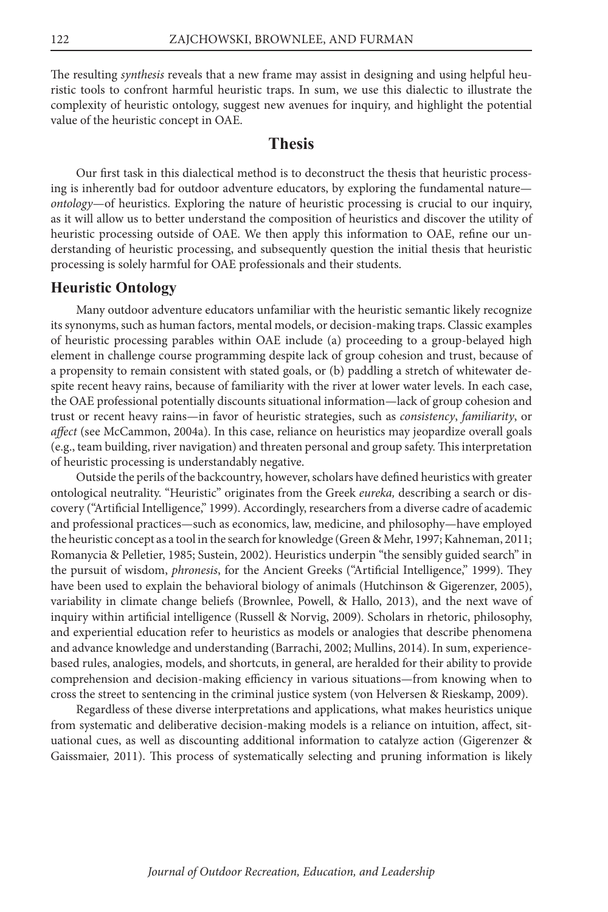The resulting *synthesis* reveals that a new frame may assist in designing and using helpful heuristic tools to confront harmful heuristic traps. In sum, we use this dialectic to illustrate the complexity of heuristic ontology, suggest new avenues for inquiry, and highlight the potential value of the heuristic concept in OAE.

# **Thesis**

Our first task in this dialectical method is to deconstruct the thesis that heuristic processing is inherently bad for outdoor adventure educators, by exploring the fundamental nature *ontology*—of heuristics. Exploring the nature of heuristic processing is crucial to our inquiry, as it will allow us to better understand the composition of heuristics and discover the utility of heuristic processing outside of OAE. We then apply this information to OAE, refine our understanding of heuristic processing, and subsequently question the initial thesis that heuristic processing is solely harmful for OAE professionals and their students.

#### **Heuristic Ontology**

Many outdoor adventure educators unfamiliar with the heuristic semantic likely recognize its synonyms, such as human factors, mental models, or decision-making traps. Classic examples of heuristic processing parables within OAE include (a) proceeding to a group-belayed high element in challenge course programming despite lack of group cohesion and trust, because of a propensity to remain consistent with stated goals, or (b) paddling a stretch of whitewater despite recent heavy rains, because of familiarity with the river at lower water levels. In each case, the OAE professional potentially discounts situational information—lack of group cohesion and trust or recent heavy rains—in favor of heuristic strategies, such as *consistency*, *familiarity*, or *affect* (see McCammon, 2004a). In this case, reliance on heuristics may jeopardize overall goals (e.g., team building, river navigation) and threaten personal and group safety. This interpretation of heuristic processing is understandably negative.

Outside the perils of the backcountry, however, scholars have defined heuristics with greater ontological neutrality. "Heuristic" originates from the Greek *eureka,* describing a search or discovery ("Artificial Intelligence," 1999). Accordingly, researchers from a diverse cadre of academic and professional practices—such as economics, law, medicine, and philosophy—have employed the heuristic concept as a tool in the search for knowledge (Green & Mehr, 1997; Kahneman, 2011; Romanycia & Pelletier, 1985; Sustein, 2002). Heuristics underpin "the sensibly guided search" in the pursuit of wisdom, *phronesis*, for the Ancient Greeks ("Artificial Intelligence," 1999). They have been used to explain the behavioral biology of animals (Hutchinson & Gigerenzer, 2005), variability in climate change beliefs (Brownlee, Powell, & Hallo, 2013), and the next wave of inquiry within artificial intelligence (Russell & Norvig, 2009). Scholars in rhetoric, philosophy, and experiential education refer to heuristics as models or analogies that describe phenomena and advance knowledge and understanding (Barrachi, 2002; Mullins, 2014). In sum, experiencebased rules, analogies, models, and shortcuts, in general, are heralded for their ability to provide comprehension and decision-making efficiency in various situations—from knowing when to cross the street to sentencing in the criminal justice system (von Helversen & Rieskamp, 2009).

Regardless of these diverse interpretations and applications, what makes heuristics unique from systematic and deliberative decision-making models is a reliance on intuition, affect, situational cues, as well as discounting additional information to catalyze action (Gigerenzer & Gaissmaier, 2011). This process of systematically selecting and pruning information is likely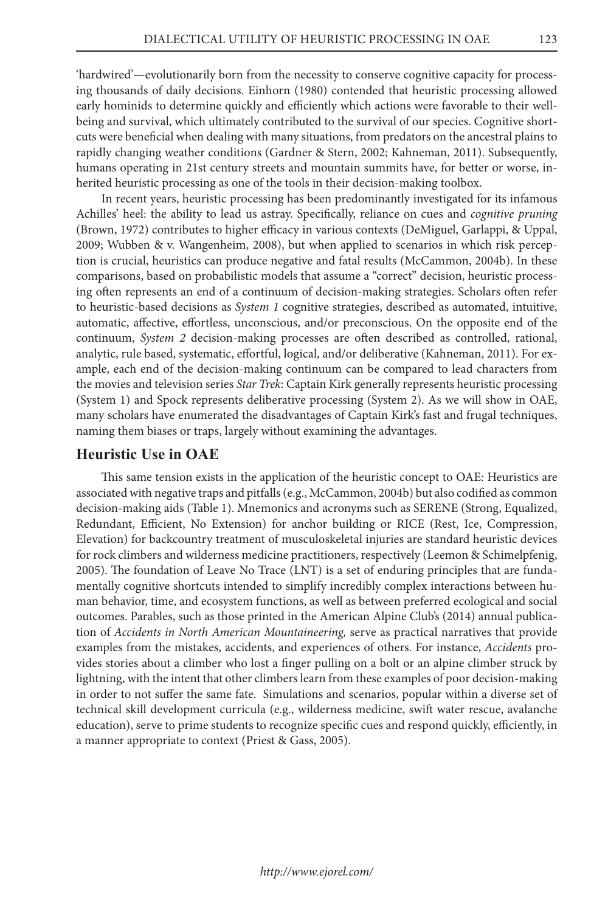'hardwired'—evolutionarily born from the necessity to conserve cognitive capacity for processing thousands of daily decisions. Einhorn (1980) contended that heuristic processing allowed early hominids to determine quickly and efficiently which actions were favorable to their wellbeing and survival, which ultimately contributed to the survival of our species. Cognitive shortcuts were beneficial when dealing with many situations, from predators on the ancestral plains to rapidly changing weather conditions (Gardner & Stern, 2002; Kahneman, 2011). Subsequently, humans operating in 21st century streets and mountain summits have, for better or worse, inherited heuristic processing as one of the tools in their decision-making toolbox.

In recent years, heuristic processing has been predominantly investigated for its infamous Achilles' heel: the ability to lead us astray. Specifically, reliance on cues and *cognitive pruning*  (Brown, 1972) contributes to higher efficacy in various contexts (DeMiguel, Garlappi, & Uppal, 2009; Wubben & v. Wangenheim, 2008), but when applied to scenarios in which risk perception is crucial, heuristics can produce negative and fatal results (McCammon, 2004b). In these comparisons, based on probabilistic models that assume a "correct" decision, heuristic processing often represents an end of a continuum of decision-making strategies. Scholars often refer to heuristic-based decisions as *System 1* cognitive strategies, described as automated, intuitive, automatic, affective, effortless, unconscious, and/or preconscious. On the opposite end of the continuum, *System 2* decision-making processes are often described as controlled, rational, analytic, rule based, systematic, effortful, logical, and/or deliberative (Kahneman, 2011). For example, each end of the decision-making continuum can be compared to lead characters from the movies and television series *Star Trek*: Captain Kirk generally represents heuristic processing (System 1) and Spock represents deliberative processing (System 2). As we will show in OAE, many scholars have enumerated the disadvantages of Captain Kirk's fast and frugal techniques, naming them biases or traps, largely without examining the advantages.

#### **Heuristic Use in OAE**

This same tension exists in the application of the heuristic concept to OAE: Heuristics are associated with negative traps and pitfalls (e.g., McCammon, 2004b) but also codified as common decision-making aids (Table 1). Mnemonics and acronyms such as SERENE (Strong, Equalized, Redundant, Efficient, No Extension) for anchor building or RICE (Rest, Ice, Compression, Elevation) for backcountry treatment of musculoskeletal injuries are standard heuristic devices for rock climbers and wilderness medicine practitioners, respectively (Leemon & Schimelpfenig, 2005). The foundation of Leave No Trace (LNT) is a set of enduring principles that are fundamentally cognitive shortcuts intended to simplify incredibly complex interactions between human behavior, time, and ecosystem functions, as well as between preferred ecological and social outcomes. Parables, such as those printed in the American Alpine Club's (2014) annual publication of *Accidents in North American Mountaineering,* serve as practical narratives that provide examples from the mistakes, accidents, and experiences of others. For instance, *Accidents* provides stories about a climber who lost a finger pulling on a bolt or an alpine climber struck by lightning, with the intent that other climbers learn from these examples of poor decision-making in order to not suffer the same fate. Simulations and scenarios, popular within a diverse set of technical skill development curricula (e.g., wilderness medicine, swift water rescue, avalanche education), serve to prime students to recognize specific cues and respond quickly, efficiently, in a manner appropriate to context (Priest & Gass, 2005).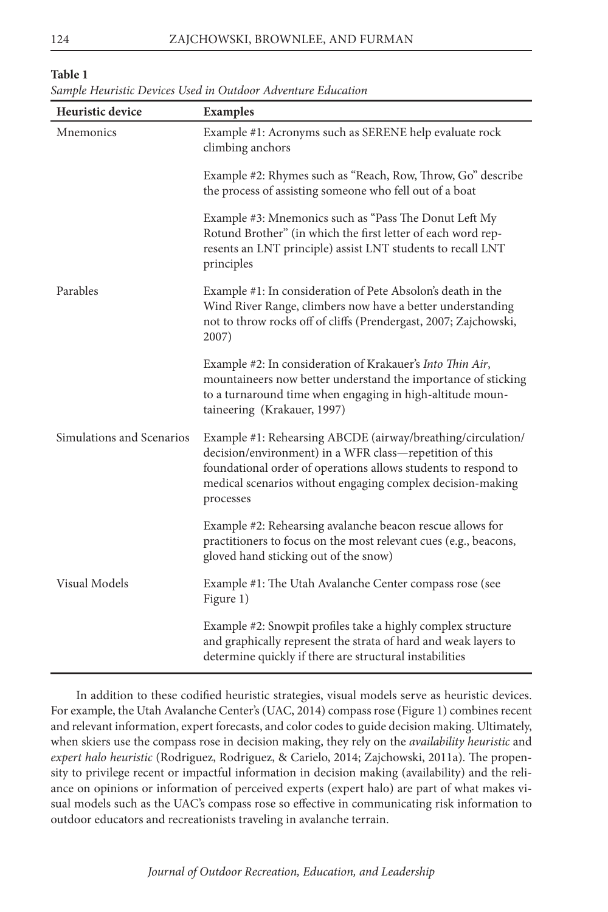#### **Table 1**

| Sample Heuristic Devices Used in Outdoor Adventure Education |  |  |
|--------------------------------------------------------------|--|--|
|--------------------------------------------------------------|--|--|

| Heuristic device          | <b>Examples</b>                                                                                                                                                                                                                                                     |
|---------------------------|---------------------------------------------------------------------------------------------------------------------------------------------------------------------------------------------------------------------------------------------------------------------|
| Mnemonics                 | Example #1: Acronyms such as SERENE help evaluate rock<br>climbing anchors                                                                                                                                                                                          |
|                           | Example #2: Rhymes such as "Reach, Row, Throw, Go" describe<br>the process of assisting someone who fell out of a boat                                                                                                                                              |
|                           | Example #3: Mnemonics such as "Pass The Donut Left My<br>Rotund Brother" (in which the first letter of each word rep-<br>resents an LNT principle) assist LNT students to recall LNT<br>principles                                                                  |
| Parables                  | Example #1: In consideration of Pete Absolon's death in the<br>Wind River Range, climbers now have a better understanding<br>not to throw rocks off of cliffs (Prendergast, 2007; Zajchowski,<br>2007)                                                              |
|                           | Example #2: In consideration of Krakauer's Into Thin Air,<br>mountaineers now better understand the importance of sticking<br>to a turnaround time when engaging in high-altitude moun-<br>taineering (Krakauer, 1997)                                              |
| Simulations and Scenarios | Example #1: Rehearsing ABCDE (airway/breathing/circulation/<br>decision/environment) in a WFR class—repetition of this<br>foundational order of operations allows students to respond to<br>medical scenarios without engaging complex decision-making<br>processes |
|                           | Example #2: Rehearsing avalanche beacon rescue allows for<br>practitioners to focus on the most relevant cues (e.g., beacons,<br>gloved hand sticking out of the snow)                                                                                              |
| <b>Visual Models</b>      | Example #1: The Utah Avalanche Center compass rose (see<br>Figure 1)                                                                                                                                                                                                |
|                           | Example #2: Snowpit profiles take a highly complex structure<br>and graphically represent the strata of hard and weak layers to<br>determine quickly if there are structural instabilities                                                                          |

In addition to these codified heuristic strategies, visual models serve as heuristic devices. For example, the Utah Avalanche Center's (UAC, 2014) compass rose (Figure 1) combines recent and relevant information, expert forecasts, and color codes to guide decision making. Ultimately, when skiers use the compass rose in decision making, they rely on the *availability heuristic* and *expert halo heuristic* (Rodriguez, Rodriguez, & Carielo, 2014; Zajchowski, 2011a). The propensity to privilege recent or impactful information in decision making (availability) and the reliance on opinions or information of perceived experts (expert halo) are part of what makes visual models such as the UAC's compass rose so effective in communicating risk information to outdoor educators and recreationists traveling in avalanche terrain.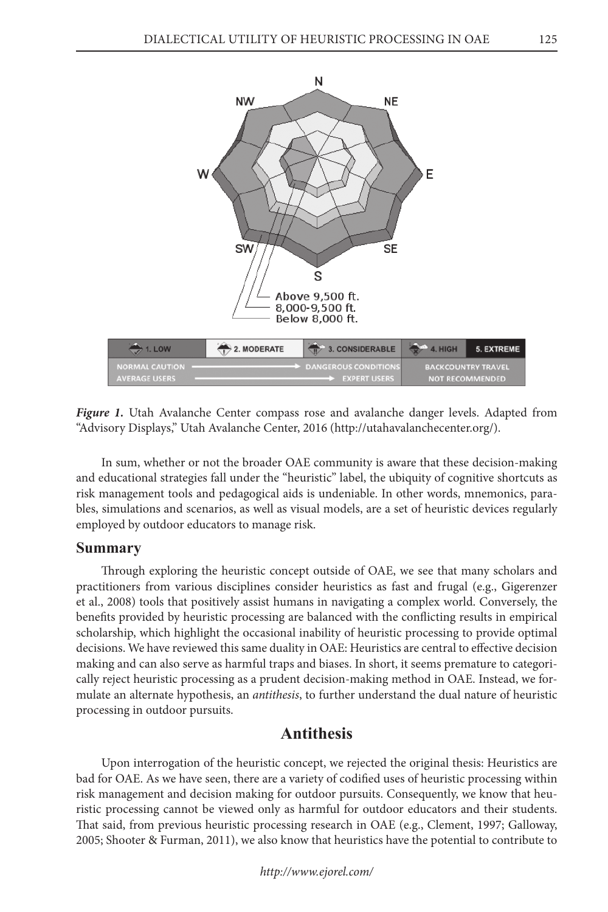

*Figure 1.* Utah Avalanche Center compass rose and avalanche danger levels. Adapted from "Advisory Displays," Utah Avalanche Center, 2016 (http://utahavalanchecenter.org/).

In sum, whether or not the broader OAE community is aware that these decision-making and educational strategies fall under the "heuristic" label, the ubiquity of cognitive shortcuts as risk management tools and pedagogical aids is undeniable. In other words, mnemonics, parables, simulations and scenarios, as well as visual models, are a set of heuristic devices regularly employed by outdoor educators to manage risk.

#### **Summary**

Through exploring the heuristic concept outside of OAE, we see that many scholars and practitioners from various disciplines consider heuristics as fast and frugal (e.g., Gigerenzer et al., 2008) tools that positively assist humans in navigating a complex world. Conversely, the benefits provided by heuristic processing are balanced with the conflicting results in empirical scholarship, which highlight the occasional inability of heuristic processing to provide optimal decisions. We have reviewed this same duality in OAE: Heuristics are central to effective decision making and can also serve as harmful traps and biases. In short, it seems premature to categorically reject heuristic processing as a prudent decision-making method in OAE. Instead, we formulate an alternate hypothesis, an *antithesis*, to further understand the dual nature of heuristic processing in outdoor pursuits.

# **Antithesis**

Upon interrogation of the heuristic concept, we rejected the original thesis: Heuristics are bad for OAE. As we have seen, there are a variety of codified uses of heuristic processing within risk management and decision making for outdoor pursuits. Consequently, we know that heuristic processing cannot be viewed only as harmful for outdoor educators and their students. That said, from previous heuristic processing research in OAE (e.g., Clement, 1997; Galloway, 2005; Shooter & Furman, 2011), we also know that heuristics have the potential to contribute to

*http://www.ejorel.com/*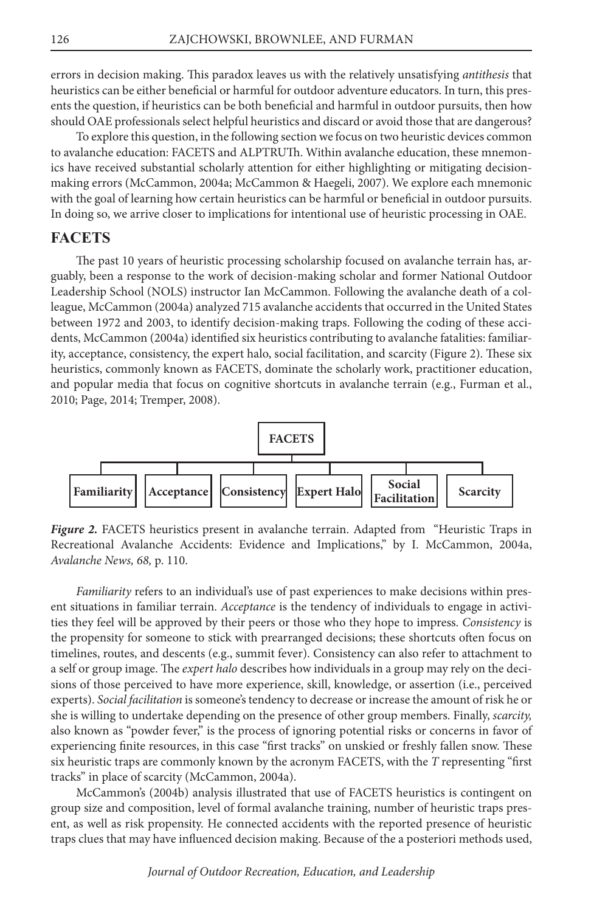errors in decision making. This paradox leaves us with the relatively unsatisfying *antithesis* that heuristics can be either beneficial or harmful for outdoor adventure educators. In turn, this presents the question, if heuristics can be both beneficial and harmful in outdoor pursuits, then how should OAE professionals select helpful heuristics and discard or avoid those that are dangerous?

To explore this question, in the following section we focus on two heuristic devices common to avalanche education: FACETS and ALPTRUTh. Within avalanche education, these mnemonics have received substantial scholarly attention for either highlighting or mitigating decisionmaking errors (McCammon, 2004a; McCammon & Haegeli, 2007). We explore each mnemonic with the goal of learning how certain heuristics can be harmful or beneficial in outdoor pursuits. In doing so, we arrive closer to implications for intentional use of heuristic processing in OAE.

## **FACETS**

The past 10 years of heuristic processing scholarship focused on avalanche terrain has, arguably, been a response to the work of decision-making scholar and former National Outdoor Leadership School (NOLS) instructor Ian McCammon. Following the avalanche death of a colleague, McCammon (2004a) analyzed 715 avalanche accidents that occurred in the United States between 1972 and 2003, to identify decision-making traps. Following the coding of these accidents, McCammon (2004a) identified six heuristics contributing to avalanche fatalities: familiarity, acceptance, consistency, the expert halo, social facilitation, and scarcity (Figure 2). These six heuristics, commonly known as FACETS, dominate the scholarly work, practitioner education, and popular media that focus on cognitive shortcuts in avalanche terrain (e.g., Furman et al., 2010; Page, 2014; Tremper, 2008).



*Figure 2.* FACETS heuristics present in avalanche terrain. Adapted from "Heuristic Traps in Recreational Avalanche Accidents: Evidence and Implications," by I. McCammon, 2004a, *Avalanche News, 68,* p. 110.

*Familiarity* refers to an individual's use of past experiences to make decisions within present situations in familiar terrain. *Acceptance* is the tendency of individuals to engage in activities they feel will be approved by their peers or those who they hope to impress. *Consistency* is the propensity for someone to stick with prearranged decisions; these shortcuts often focus on timelines, routes, and descents (e.g., summit fever). Consistency can also refer to attachment to a self or group image. The *expert halo* describes how individuals in a group may rely on the decisions of those perceived to have more experience, skill, knowledge, or assertion (i.e., perceived experts). *Social facilitation* is someone's tendency to decrease or increase the amount of risk he or she is willing to undertake depending on the presence of other group members. Finally, *scarcity,*  also known as "powder fever," is the process of ignoring potential risks or concerns in favor of experiencing finite resources, in this case "first tracks" on unskied or freshly fallen snow. These six heuristic traps are commonly known by the acronym FACETS, with the *T* representing "first tracks" in place of scarcity (McCammon, 2004a).

McCammon's (2004b) analysis illustrated that use of FACETS heuristics is contingent on group size and composition, level of formal avalanche training, number of heuristic traps present, as well as risk propensity. He connected accidents with the reported presence of heuristic traps clues that may have influenced decision making. Because of the a posteriori methods used,

*Journal of Outdoor Recreation, Education, and Leadership*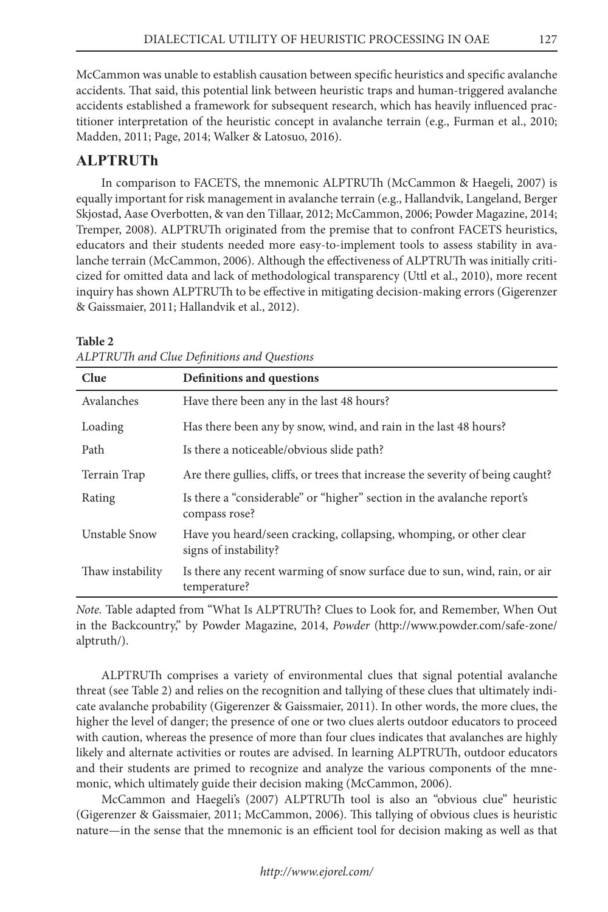McCammon was unable to establish causation between specific heuristics and specific avalanche accidents. That said, this potential link between heuristic traps and human-triggered avalanche accidents established a framework for subsequent research, which has heavily influenced practitioner interpretation of the heuristic concept in avalanche terrain (e.g., Furman et al., 2010; Madden, 2011; Page, 2014; Walker & Latosuo, 2016).

# **ALPTRUTh**

In comparison to FACETS, the mnemonic ALPTRUTh (McCammon & Haegeli, 2007) is equally important for risk management in avalanche terrain (e.g., Hallandvik, Langeland, Berger Skjostad, Aase Overbotten, & van den Tillaar, 2012; McCammon, 2006; Powder Magazine, 2014; Tremper, 2008). ALPTRUTh originated from the premise that to confront FACETS heuristics, educators and their students needed more easy-to-implement tools to assess stability in avalanche terrain (McCammon, 2006). Although the effectiveness of ALPTRUTh was initially criticized for omitted data and lack of methodological transparency (Uttl et al., 2010), more recent inquiry has shown ALPTRUTh to be effective in mitigating decision-making errors (Gigerenzer & Gaissmaier, 2011; Hallandvik et al., 2012).

#### **Table 2**

| Clue             | Definitions and questions                                                                   |
|------------------|---------------------------------------------------------------------------------------------|
| Avalanches       | Have there been any in the last 48 hours?                                                   |
| Loading          | Has there been any by snow, wind, and rain in the last 48 hours?                            |
| Path             | Is there a noticeable/obvious slide path?                                                   |
| Terrain Trap     | Are there gullies, cliffs, or trees that increase the severity of being caught?             |
| Rating           | Is there a "considerable" or "higher" section in the avalanche report's<br>compass rose?    |
| Unstable Snow    | Have you heard/seen cracking, collapsing, whomping, or other clear<br>signs of instability? |
| Thaw instability | Is there any recent warming of snow surface due to sun, wind, rain, or air<br>temperature?  |

*ALPTRUTh and Clue Definitions and Questions*

*Note.* Table adapted from "What Is ALPTRUTh? Clues to Look for, and Remember, When Out in the Backcountry," by Powder Magazine, 2014, *Powder* (http://www.powder.com/safe-zone/ alptruth/).

ALPTRUTh comprises a variety of environmental clues that signal potential avalanche threat (see Table 2) and relies on the recognition and tallying of these clues that ultimately indicate avalanche probability (Gigerenzer & Gaissmaier, 2011). In other words, the more clues, the higher the level of danger; the presence of one or two clues alerts outdoor educators to proceed with caution, whereas the presence of more than four clues indicates that avalanches are highly likely and alternate activities or routes are advised. In learning ALPTRUTh, outdoor educators and their students are primed to recognize and analyze the various components of the mnemonic, which ultimately guide their decision making (McCammon, 2006).

McCammon and Haegeli's (2007) ALPTRUTh tool is also an "obvious clue" heuristic (Gigerenzer & Gaissmaier, 2011; McCammon, 2006). This tallying of obvious clues is heuristic nature—in the sense that the mnemonic is an efficient tool for decision making as well as that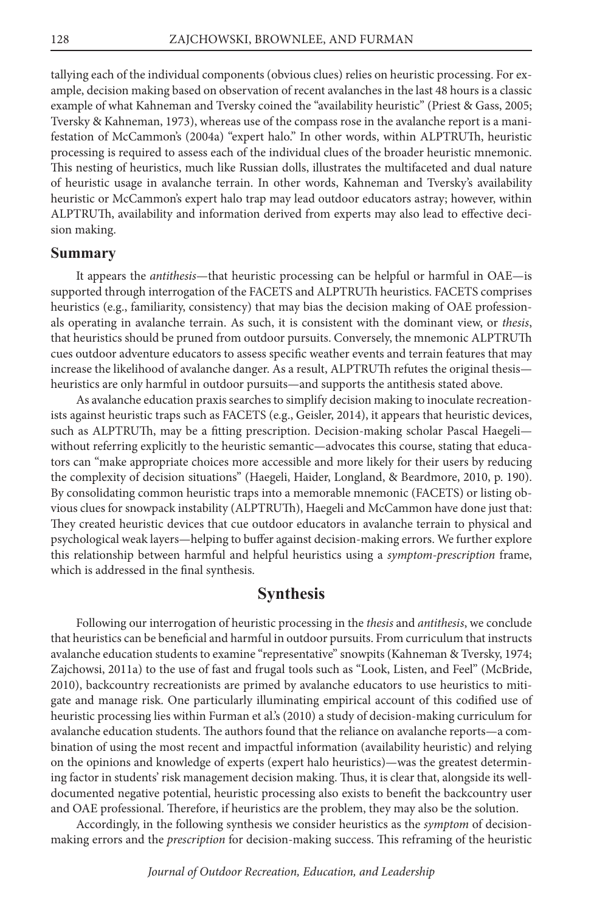tallying each of the individual components (obvious clues) relies on heuristic processing. For example, decision making based on observation of recent avalanches in the last 48 hours is a classic example of what Kahneman and Tversky coined the "availability heuristic" (Priest & Gass, 2005; Tversky & Kahneman, 1973), whereas use of the compass rose in the avalanche report is a manifestation of McCammon's (2004a) "expert halo." In other words, within ALPTRUTh, heuristic processing is required to assess each of the individual clues of the broader heuristic mnemonic. This nesting of heuristics, much like Russian dolls, illustrates the multifaceted and dual nature of heuristic usage in avalanche terrain. In other words, Kahneman and Tversky's availability heuristic or McCammon's expert halo trap may lead outdoor educators astray; however, within ALPTRUTh, availability and information derived from experts may also lead to effective decision making.

#### **Summary**

It appears the *antithesis*—that heuristic processing can be helpful or harmful in OAE—is supported through interrogation of the FACETS and ALPTRUTh heuristics. FACETS comprises heuristics (e.g., familiarity, consistency) that may bias the decision making of OAE professionals operating in avalanche terrain. As such, it is consistent with the dominant view, or *thesis*, that heuristics should be pruned from outdoor pursuits. Conversely, the mnemonic ALPTRUTh cues outdoor adventure educators to assess specific weather events and terrain features that may increase the likelihood of avalanche danger. As a result, ALPTRUTh refutes the original thesis heuristics are only harmful in outdoor pursuits—and supports the antithesis stated above.

As avalanche education praxis searches to simplify decision making to inoculate recreationists against heuristic traps such as FACETS (e.g., Geisler, 2014), it appears that heuristic devices, such as ALPTRUTh, may be a fitting prescription. Decision-making scholar Pascal Haegeli without referring explicitly to the heuristic semantic—advocates this course, stating that educators can "make appropriate choices more accessible and more likely for their users by reducing the complexity of decision situations" (Haegeli, Haider, Longland, & Beardmore, 2010, p. 190). By consolidating common heuristic traps into a memorable mnemonic (FACETS) or listing obvious clues for snowpack instability (ALPTRUTh), Haegeli and McCammon have done just that: They created heuristic devices that cue outdoor educators in avalanche terrain to physical and psychological weak layers—helping to buffer against decision-making errors. We further explore this relationship between harmful and helpful heuristics using a *symptom-prescription* frame, which is addressed in the final synthesis.

# **Synthesis**

Following our interrogation of heuristic processing in the *thesis* and *antithesis*, we conclude that heuristics can be beneficial and harmful in outdoor pursuits. From curriculum that instructs avalanche education students to examine "representative" snowpits (Kahneman & Tversky, 1974; Zajchowsi, 2011a) to the use of fast and frugal tools such as "Look, Listen, and Feel" (McBride, 2010), backcountry recreationists are primed by avalanche educators to use heuristics to mitigate and manage risk. One particularly illuminating empirical account of this codified use of heuristic processing lies within Furman et al.'s (2010) a study of decision-making curriculum for avalanche education students. The authors found that the reliance on avalanche reports—a combination of using the most recent and impactful information (availability heuristic) and relying on the opinions and knowledge of experts (expert halo heuristics)—was the greatest determining factor in students' risk management decision making. Thus, it is clear that, alongside its welldocumented negative potential, heuristic processing also exists to benefit the backcountry user and OAE professional. Therefore, if heuristics are the problem, they may also be the solution.

Accordingly, in the following synthesis we consider heuristics as the *symptom* of decisionmaking errors and the *prescription* for decision-making success. This reframing of the heuristic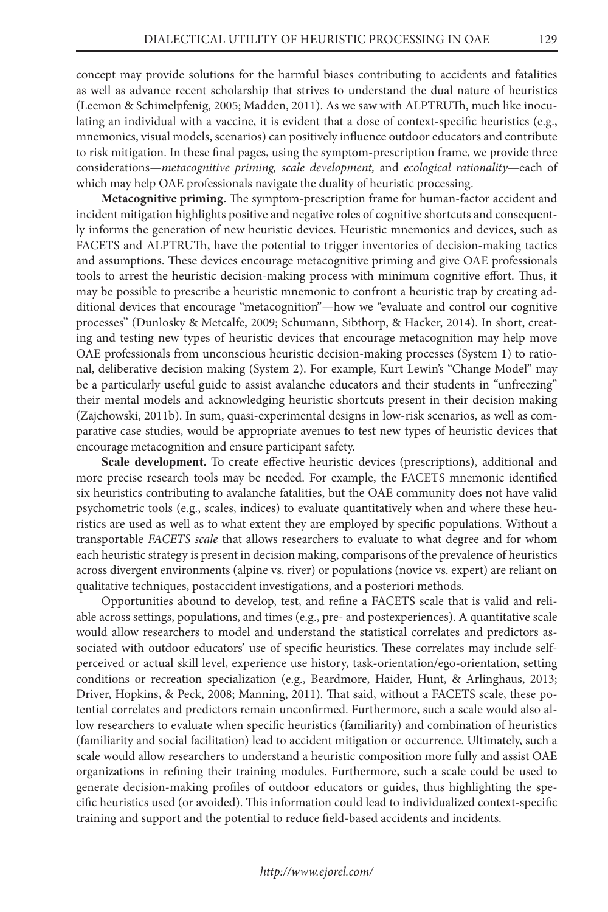concept may provide solutions for the harmful biases contributing to accidents and fatalities as well as advance recent scholarship that strives to understand the dual nature of heuristics (Leemon & Schimelpfenig, 2005; Madden, 2011). As we saw with ALPTRUTh, much like inoculating an individual with a vaccine, it is evident that a dose of context-specific heuristics (e.g., mnemonics, visual models, scenarios) can positively influence outdoor educators and contribute to risk mitigation. In these final pages, using the symptom-prescription frame, we provide three considerations—*metacognitive priming, scale development,* and *ecological rationality*—each of which may help OAE professionals navigate the duality of heuristic processing.

**Metacognitive priming.** The symptom-prescription frame for human-factor accident and incident mitigation highlights positive and negative roles of cognitive shortcuts and consequently informs the generation of new heuristic devices. Heuristic mnemonics and devices, such as FACETS and ALPTRUTh, have the potential to trigger inventories of decision-making tactics and assumptions. These devices encourage metacognitive priming and give OAE professionals tools to arrest the heuristic decision-making process with minimum cognitive effort. Thus, it may be possible to prescribe a heuristic mnemonic to confront a heuristic trap by creating additional devices that encourage "metacognition"—how we "evaluate and control our cognitive processes" (Dunlosky & Metcalfe, 2009; Schumann, Sibthorp, & Hacker, 2014). In short, creating and testing new types of heuristic devices that encourage metacognition may help move OAE professionals from unconscious heuristic decision-making processes (System 1) to rational, deliberative decision making (System 2). For example, Kurt Lewin's "Change Model" may be a particularly useful guide to assist avalanche educators and their students in "unfreezing" their mental models and acknowledging heuristic shortcuts present in their decision making (Zajchowski, 2011b). In sum, quasi-experimental designs in low-risk scenarios, as well as comparative case studies, would be appropriate avenues to test new types of heuristic devices that encourage metacognition and ensure participant safety.

**Scale development.** To create effective heuristic devices (prescriptions), additional and more precise research tools may be needed. For example, the FACETS mnemonic identified six heuristics contributing to avalanche fatalities, but the OAE community does not have valid psychometric tools (e.g., scales, indices) to evaluate quantitatively when and where these heuristics are used as well as to what extent they are employed by specific populations. Without a transportable *FACETS scale* that allows researchers to evaluate to what degree and for whom each heuristic strategy is present in decision making, comparisons of the prevalence of heuristics across divergent environments (alpine vs. river) or populations (novice vs. expert) are reliant on qualitative techniques, postaccident investigations, and a posteriori methods.

Opportunities abound to develop, test, and refine a FACETS scale that is valid and reliable across settings, populations, and times (e.g., pre- and postexperiences). A quantitative scale would allow researchers to model and understand the statistical correlates and predictors associated with outdoor educators' use of specific heuristics. These correlates may include selfperceived or actual skill level, experience use history, task-orientation/ego-orientation, setting conditions or recreation specialization (e.g., Beardmore, Haider, Hunt, & Arlinghaus, 2013; Driver, Hopkins, & Peck, 2008; Manning, 2011). That said, without a FACETS scale, these potential correlates and predictors remain unconfirmed. Furthermore, such a scale would also allow researchers to evaluate when specific heuristics (familiarity) and combination of heuristics (familiarity and social facilitation) lead to accident mitigation or occurrence. Ultimately, such a scale would allow researchers to understand a heuristic composition more fully and assist OAE organizations in refining their training modules. Furthermore, such a scale could be used to generate decision-making profiles of outdoor educators or guides, thus highlighting the specific heuristics used (or avoided). This information could lead to individualized context-specific training and support and the potential to reduce field-based accidents and incidents.

#### *http://www.ejorel.com/*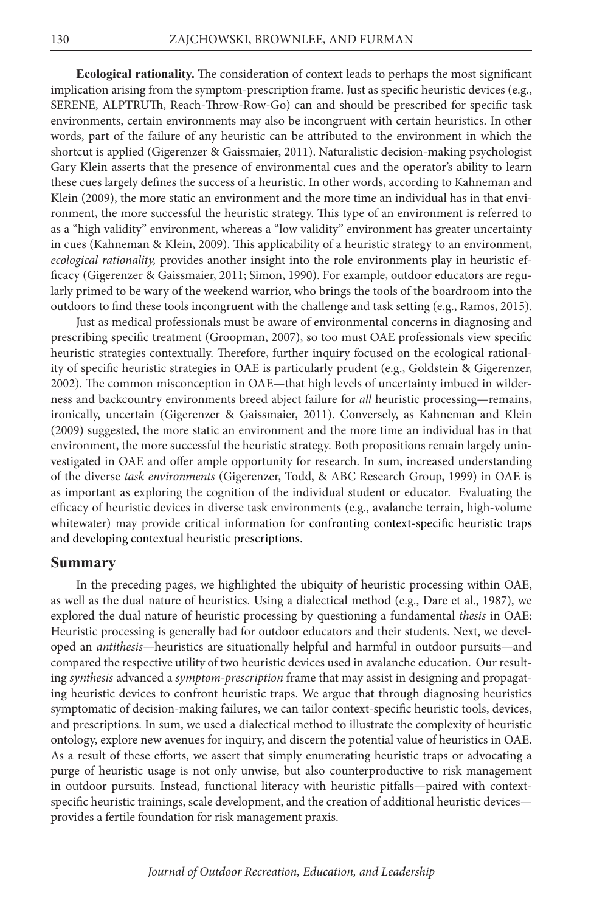**Ecological rationality.** The consideration of context leads to perhaps the most significant implication arising from the symptom-prescription frame. Just as specific heuristic devices (e.g., SERENE, ALPTRUTh, Reach-Throw-Row-Go) can and should be prescribed for specific task environments, certain environments may also be incongruent with certain heuristics. In other words, part of the failure of any heuristic can be attributed to the environment in which the shortcut is applied (Gigerenzer & Gaissmaier, 2011). Naturalistic decision-making psychologist Gary Klein asserts that the presence of environmental cues and the operator's ability to learn these cues largely defines the success of a heuristic. In other words, according to Kahneman and Klein (2009), the more static an environment and the more time an individual has in that environment, the more successful the heuristic strategy. This type of an environment is referred to as a "high validity" environment, whereas a "low validity" environment has greater uncertainty in cues (Kahneman & Klein, 2009). This applicability of a heuristic strategy to an environment, *ecological rationality,* provides another insight into the role environments play in heuristic efficacy (Gigerenzer & Gaissmaier, 2011; Simon, 1990). For example, outdoor educators are regularly primed to be wary of the weekend warrior, who brings the tools of the boardroom into the outdoors to find these tools incongruent with the challenge and task setting (e.g., Ramos, 2015).

Just as medical professionals must be aware of environmental concerns in diagnosing and prescribing specific treatment (Groopman, 2007), so too must OAE professionals view specific heuristic strategies contextually. Therefore, further inquiry focused on the ecological rationality of specific heuristic strategies in OAE is particularly prudent (e.g., Goldstein & Gigerenzer, 2002). The common misconception in OAE—that high levels of uncertainty imbued in wilderness and backcountry environments breed abject failure for *all* heuristic processing—remains, ironically, uncertain (Gigerenzer & Gaissmaier, 2011). Conversely, as Kahneman and Klein (2009) suggested, the more static an environment and the more time an individual has in that environment, the more successful the heuristic strategy. Both propositions remain largely uninvestigated in OAE and offer ample opportunity for research. In sum, increased understanding of the diverse *task environments* (Gigerenzer, Todd, & ABC Research Group, 1999) in OAE is as important as exploring the cognition of the individual student or educator. Evaluating the efficacy of heuristic devices in diverse task environments (e.g., avalanche terrain, high-volume whitewater) may provide critical information for confronting context-specific heuristic traps and developing contextual heuristic prescriptions.

#### **Summary**

In the preceding pages, we highlighted the ubiquity of heuristic processing within OAE, as well as the dual nature of heuristics. Using a dialectical method (e.g., Dare et al., 1987), we explored the dual nature of heuristic processing by questioning a fundamental *thesis* in OAE: Heuristic processing is generally bad for outdoor educators and their students. Next, we developed an *antithesis—*heuristics are situationally helpful and harmful in outdoor pursuits—and compared the respective utility of two heuristic devices used in avalanche education. Our resulting *synthesis* advanced a *symptom-prescription* frame that may assist in designing and propagating heuristic devices to confront heuristic traps. We argue that through diagnosing heuristics symptomatic of decision-making failures, we can tailor context-specific heuristic tools, devices, and prescriptions. In sum, we used a dialectical method to illustrate the complexity of heuristic ontology, explore new avenues for inquiry, and discern the potential value of heuristics in OAE. As a result of these efforts, we assert that simply enumerating heuristic traps or advocating a purge of heuristic usage is not only unwise, but also counterproductive to risk management in outdoor pursuits. Instead, functional literacy with heuristic pitfalls—paired with contextspecific heuristic trainings, scale development, and the creation of additional heuristic devices provides a fertile foundation for risk management praxis.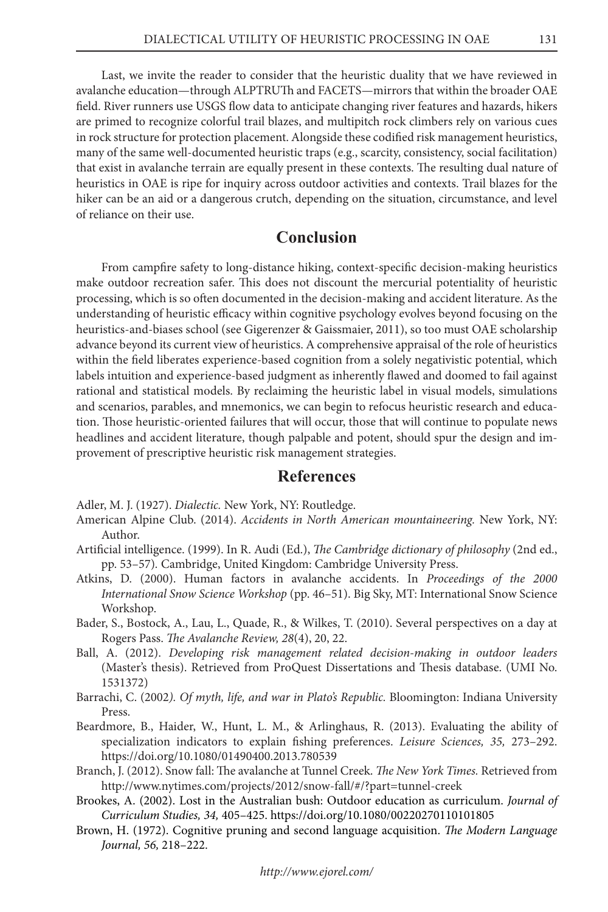Last, we invite the reader to consider that the heuristic duality that we have reviewed in avalanche education—through ALPTRUTh and FACETS—mirrors that within the broader OAE field. River runners use USGS flow data to anticipate changing river features and hazards, hikers are primed to recognize colorful trail blazes, and multipitch rock climbers rely on various cues in rock structure for protection placement. Alongside these codified risk management heuristics, many of the same well-documented heuristic traps (e.g., scarcity, consistency, social facilitation) that exist in avalanche terrain are equally present in these contexts. The resulting dual nature of heuristics in OAE is ripe for inquiry across outdoor activities and contexts. Trail blazes for the hiker can be an aid or a dangerous crutch, depending on the situation, circumstance, and level of reliance on their use.

# **Conclusion**

From campfire safety to long-distance hiking, context-specific decision-making heuristics make outdoor recreation safer. This does not discount the mercurial potentiality of heuristic processing, which is so often documented in the decision-making and accident literature. As the understanding of heuristic efficacy within cognitive psychology evolves beyond focusing on the heuristics-and-biases school (see Gigerenzer & Gaissmaier, 2011), so too must OAE scholarship advance beyond its current view of heuristics. A comprehensive appraisal of the role of heuristics within the field liberates experience-based cognition from a solely negativistic potential, which labels intuition and experience-based judgment as inherently flawed and doomed to fail against rational and statistical models. By reclaiming the heuristic label in visual models, simulations and scenarios, parables, and mnemonics, we can begin to refocus heuristic research and education. Those heuristic-oriented failures that will occur, those that will continue to populate news headlines and accident literature, though palpable and potent, should spur the design and improvement of prescriptive heuristic risk management strategies.

#### **References**

- Adler, M. J. (1927). *Dialectic.* New York, NY: Routledge.
- American Alpine Club. (2014). *Accidents in North American mountaineering.* New York, NY: Author.
- Artificial intelligence. (1999). In R. Audi (Ed.), *The Cambridge dictionary of philosophy* (2nd ed., pp. 53–57)*.* Cambridge, United Kingdom: Cambridge University Press.
- Atkins, D. (2000). Human factors in avalanche accidents. In *Proceedings of the 2000 International Snow Science Workshop* (pp. 46–51). Big Sky, MT: International Snow Science Workshop.
- Bader, S., Bostock, A., Lau, L., Quade, R., & Wilkes, T. (2010). Several perspectives on a day at Rogers Pass. *The Avalanche Review, 28*(4), 20, 22.
- Ball, A. (2012). *Developing risk management related decision-making in outdoor leaders*  (Master's thesis). Retrieved from ProQuest Dissertations and Thesis database. (UMI No. 1531372)
- Barrachi, C. (2002*). Of myth, life, and war in Plato's Republic.* Bloomington: Indiana University Press.
- Beardmore, B., Haider, W., Hunt, L. M., & Arlinghaus, R. (2013). Evaluating the ability of specialization indicators to explain fishing preferences. *Leisure Sciences, 35,* 273–292. https://doi.org/10.1080/01490400.2013.780539
- Branch, J. (2012). Snow fall: The avalanche at Tunnel Creek. *The New York Times.* Retrieved from http://www.nytimes.com/projects/2012/snow-fall/#/?part=tunnel-creek
- Brookes, A. (2002). Lost in the Australian bush: Outdoor education as curriculum. *Journal of Curriculum Studies, 34,* 405–425. https://doi.org/10.1080/00220270110101805
- Brown, H. (1972). Cognitive pruning and second language acquisition. *The Modern Language Journal, 56,* 218–222.

*http://www.ejorel.com/*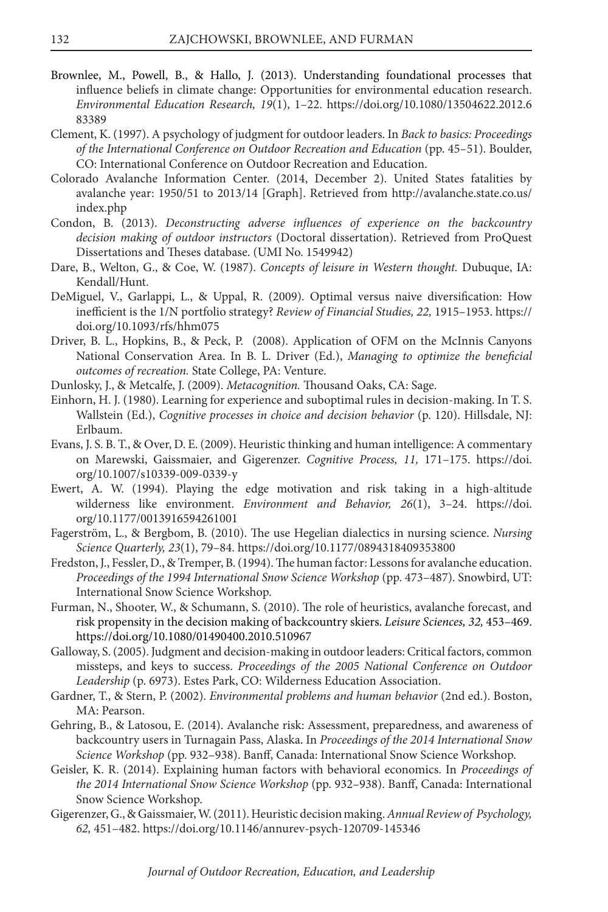- Brownlee, M., Powell, B., & Hallo, J. (2013). Understanding foundational processes that influence beliefs in climate change: Opportunities for environmental education research. *Environmental Education Research, 19*(1), 1–22. https://doi.org/10.1080/13504622.2012.6 83389
- Clement, K. (1997). A psychology of judgment for outdoor leaders. In *Back to basics: Proceedings of the International Conference on Outdoor Recreation and Education* (pp. 45–51). Boulder, CO: International Conference on Outdoor Recreation and Education.
- Colorado Avalanche Information Center. (2014, December 2). United States fatalities by avalanche year: 1950/51 to 2013/14 [Graph]. Retrieved from http://avalanche.state.co.us/ index.php
- Condon, B. (2013). *Deconstructing adverse influences of experience on the backcountry decision making of outdoor instructors* (Doctoral dissertation). Retrieved from ProQuest Dissertations and Theses database. (UMI No. 1549942)
- Dare, B., Welton, G., & Coe, W. (1987). *Concepts of leisure in Western thought.* Dubuque, IA: Kendall/Hunt.
- DeMiguel, V., Garlappi, L., & Uppal, R. (2009). Optimal versus naive diversification: How inefficient is the 1/N portfolio strategy? *Review of Financial Studies, 22,* 1915–1953. https:// doi.org/10.1093/rfs/hhm075
- Driver, B. L., Hopkins, B., & Peck, P. (2008). Application of OFM on the McInnis Canyons National Conservation Area. In B. L. Driver (Ed.), *Managing to optimize the beneficial outcomes of recreation.* State College, PA: Venture.
- Dunlosky, J., & Metcalfe, J. (2009). *Metacognition.* Thousand Oaks, CA: Sage.
- Einhorn, H. J. (1980). Learning for experience and suboptimal rules in decision-making. In T. S. Wallstein (Ed.), *Cognitive processes in choice and decision behavior* (p. 120). Hillsdale, NJ: Erlbaum.
- Evans, J. S. B. T., & Over, D. E. (2009). Heuristic thinking and human intelligence: A commentary on Marewski, Gaissmaier, and Gigerenzer. *Cognitive Process, 11,* 171–175. https://doi. org/10.1007/s10339-009-0339-y
- Ewert, A. W. (1994). Playing the edge motivation and risk taking in a high-altitude wilderness like environment. *Environment and Behavior, 26*(1), 3–24. https://doi. org/10.1177/0013916594261001
- Fagerström, L., & Bergbom, B. (2010). The use Hegelian dialectics in nursing science. *Nursing Science Quarterly, 23*(1), 79–84. https://doi.org/10.1177/0894318409353800
- Fredston, J., Fessler, D., & Tremper, B. (1994). The human factor: Lessons for avalanche education. Proceedings of the 1994 International Snow Science Workshop (pp. 473-487). Snowbird, UT: International Snow Science Workshop.
- Furman, N., Shooter, W., & Schumann, S. (2010). The role of heuristics, avalanche forecast, and risk propensity in the decision making of backcountry skiers. *Leisure Sciences, 32,* 453–469. https://doi.org/10.1080/01490400.2010.510967
- Galloway, S. (2005). Judgment and decision-making in outdoor leaders: Critical factors, common missteps, and keys to success. *Proceedings of the 2005 National Conference on Outdoor Leadership* (p. 6973). Estes Park, CO: Wilderness Education Association.
- Gardner, T., & Stern, P. (2002). *Environmental problems and human behavior* (2nd ed.). Boston, MA: Pearson.
- Gehring, B., & Latosou, E. (2014). Avalanche risk: Assessment, preparedness, and awareness of backcountry users in Turnagain Pass, Alaska. In *Proceedings of the 2014 International Snow Science Workshop* (pp. 932–938). Banff, Canada: International Snow Science Workshop.
- Geisler, K. R. (2014). Explaining human factors with behavioral economics. In *Proceedings of the 2014 International Snow Science Workshop* (pp. 932–938). Banff, Canada: International Snow Science Workshop.
- Gigerenzer, G., & Gaissmaier, W. (2011). Heuristic decision making. *Annual Review of Psychology, 62,* 451–482. https://doi.org/10.1146/annurev-psych-120709-145346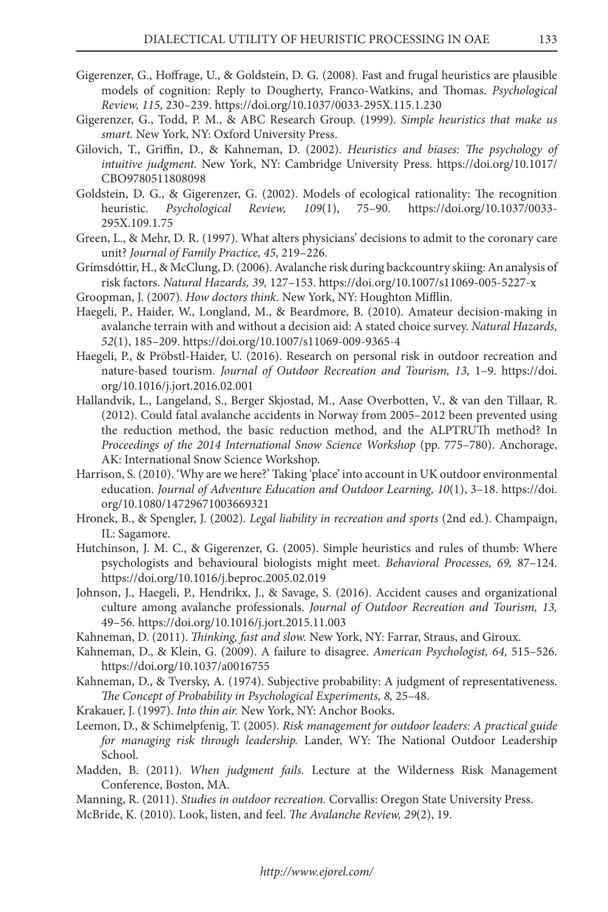- Gigerenzer, G., Hoffrage, U., & Goldstein, D. G. (2008). Fast and frugal heuristics are plausible models of cognition: Reply to Dougherty, Franco-Watkins, and Thomas. *Psychological Review, 115,* 230–239. https://doi.org/10.1037/0033-295X.115.1.230
- Gigerenzer, G., Todd, P. M., & ABC Research Group. (1999). *Simple heuristics that make us smart.* New York, NY: Oxford University Press.
- Gilovich, T., Griffin, D., & Kahneman, D. (2002). *Heuristics and biases: The psychology of intuitive judgment.* New York, NY: Cambridge University Press. https://doi.org/10.1017/ CBO9780511808098
- Goldstein, D. G., & Gigerenzer, G. (2002). Models of ecological rationality: The recognition heuristic. *Psychological Review, 109*(1), 75–90. https://doi.org/10.1037/0033- 295X.109.1.75
- Green, L., & Mehr, D. R. (1997). What alters physicians' decisions to admit to the coronary care unit? *Journal of Family Practice, 45,* 219–226.
- Grímsdóttir, H., & McClung, D. (2006). Avalanche risk during backcountry skiing: An analysis of risk factors. *Natural Hazards, 39,* 127–153. https://doi.org/10.1007/s11069-005-5227-x
- Groopman, J. (2007). *How doctors think.* New York, NY: Houghton Mifflin.
- Haegeli, P., Haider, W., Longland, M., & Beardmore, B. (2010). Amateur decision-making in avalanche terrain with and without a decision aid: A stated choice survey. *Natural Hazards, 52*(1), 185–209. https://doi.org/10.1007/s11069-009-9365-4
- Haegeli, P., & Pröbstl-Haider, U. (2016). Research on personal risk in outdoor recreation and nature-based tourism. *Journal of Outdoor Recreation and Tourism, 13,* 1–9. https://doi. org/10.1016/j.jort.2016.02.001
- Hallandvik, L., Langeland, S., Berger Skjostad, M., Aase Overbotten, V., & van den Tillaar, R. (2012). Could fatal avalanche accidents in Norway from 2005–2012 been prevented using the reduction method, the basic reduction method, and the ALPTRUTh method? In *Proceedings of the 2014 International Snow Science Workshop (pp. 775–780). Anchorage,* AK: International Snow Science Workshop.
- Harrison, S. (2010). 'Why are we here?' Taking 'place' into account in UK outdoor environmental education. *Journal of Adventure Education and Outdoor Learning, 10*(1), 3–18. https://doi. org/10.1080/14729671003669321
- Hronek, B., & Spengler, J. (2002). *Legal liability in recreation and sports* (2nd ed.). Champaign, IL: Sagamore.
- Hutchinson, J. M. C., & Gigerenzer, G. (2005). Simple heuristics and rules of thumb: Where psychologists and behavioural biologists might meet. *Behavioral Processes, 69,* 87–124. https://doi.org/10.1016/j.beproc.2005.02.019
- Johnson, J., Haegeli, P., Hendrikx, J., & Savage, S. (2016). Accident causes and organizational culture among avalanche professionals. *Journal of Outdoor Recreation and Tourism, 13,* 49–56. https://doi.org/10.1016/j.jort.2015.11.003
- Kahneman, D. (2011). *Thinking, fast and slow.* New York, NY: Farrar, Straus, and Giroux.
- Kahneman, D., & Klein, G. (2009). A failure to disagree. *American Psychologist, 64,* 515–526. https://doi.org/10.1037/a0016755
- Kahneman, D., & Tversky, A. (1974). Subjective probability: A judgment of representativeness. *The Concept of Probability in Psychological Experiments, 8,* 25–48.
- Krakauer, J. (1997). *Into thin air.* New York, NY: Anchor Books.
- Leemon, D., & Schimelpfenig, T. (2005). *Risk management for outdoor leaders: A practical guide for managing risk through leadership.* Lander, WY: The National Outdoor Leadership School.
- Madden, B. (2011). *When judgment fails.* Lecture at the Wilderness Risk Management Conference, Boston, MA.
- Manning, R. (2011). *Studies in outdoor recreation.* Corvallis: Oregon State University Press.
- McBride, K. (2010). Look, listen, and feel. *The Avalanche Review, 29*(2), 19.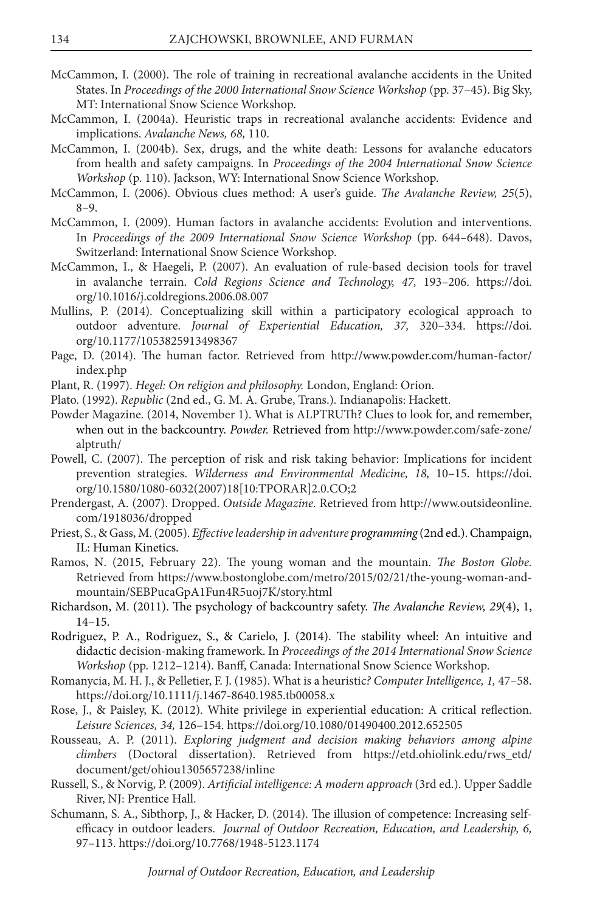- McCammon, I. (2000). The role of training in recreational avalanche accidents in the United States. In Proceedings of the 2000 International Snow Science Workshop (pp. 37-45). Big Sky, MT: International Snow Science Workshop.
- McCammon, I. (2004a). Heuristic traps in recreational avalanche accidents: Evidence and implications. *Avalanche News, 68,* 110.
- McCammon, I. (2004b). Sex, drugs, and the white death: Lessons for avalanche educators from health and safety campaigns. In *Proceedings of the 2004 International Snow Science Workshop* (p. 110). Jackson, WY: International Snow Science Workshop.
- McCammon, I. (2006). Obvious clues method: A user's guide. *The Avalanche Review, 25*(5), 8–9.
- McCammon, I. (2009). Human factors in avalanche accidents: Evolution and interventions. In *Proceedings of the 2009 International Snow Science Workshop* (pp. 644–648). Davos, Switzerland: International Snow Science Workshop.
- McCammon, I., & Haegeli, P. (2007). An evaluation of rule-based decision tools for travel in avalanche terrain. *Cold Regions Science and Technology, 47,* 193–206. https://doi. org/10.1016/j.coldregions.2006.08.007
- Mullins, P. (2014). Conceptualizing skill within a participatory ecological approach to outdoor adventure. *Journal of Experiential Education, 37,* 320–334. https://doi. org/10.1177/1053825913498367
- Page, D. (2014). The human factor. Retrieved from http://www.powder.com/human-factor/ index.php
- Plant, R. (1997). *Hegel: On religion and philosophy.* London, England: Orion.
- Plato. (1992). *Republic* (2nd ed., G. M. A. Grube, Trans.)*.* Indianapolis: Hackett.
- Powder Magazine. (2014, November 1). What is ALPTRUTh? Clues to look for, and remember, when out in the backcountry. *Powder.* Retrieved from http://www.powder.com/safe-zone/ alptruth/
- Powell, C. (2007). The perception of risk and risk taking behavior: Implications for incident prevention strategies. *Wilderness and Environmental Medicine, 18,* 10–15. https://doi. org/10.1580/1080-6032(2007)18[10:TPORAR]2.0.CO;2
- Prendergast, A. (2007). Dropped. *Outside Magazine.* Retrieved from http://www.outsideonline. com/1918036/dropped
- Priest, S., & Gass, M. (2005). *Effective leadership in adventure programming* (2nd ed.). Champaign, IL: Human Kinetics.
- Ramos, N. (2015, February 22). The young woman and the mountain. *The Boston Globe.*  Retrieved from https://www.bostonglobe.com/metro/2015/02/21/the-young-woman-andmountain/SEBPucaGpA1Fun4R5uoj7K/story.html
- Richardson, M. (2011). The psychology of backcountry safety. *The Avalanche Review, 29*(4), 1, 14–15.
- Rodriguez, P. A., Rodriguez, S., & Carielo, J. (2014). The stability wheel: An intuitive and didactic decision-making framework. In *Proceedings of the 2014 International Snow Science Workshop* (pp. 1212–1214). Banff, Canada: International Snow Science Workshop.
- Romanycia, M. H. J., & Pelletier, F. J. (1985). What is a heuristic*? Computer Intelligence, 1,* 47–58. https://doi.org/10.1111/j.1467-8640.1985.tb00058.x
- Rose, J., & Paisley, K. (2012). White privilege in experiential education: A critical reflection. *Leisure Sciences, 34,* 126–154. https://doi.org/10.1080/01490400.2012.652505
- Rousseau, A. P. (2011). *Exploring judgment and decision making behaviors among alpine climbers* (Doctoral dissertation). Retrieved from https://etd.ohiolink.edu/rws\_etd/ document/get/ohiou1305657238/inline
- Russell, S., & Norvig, P. (2009). *Artificial intelligence: A modern approach* (3rd ed.). Upper Saddle River, NJ: Prentice Hall.
- Schumann, S. A., Sibthorp, J., & Hacker, D. (2014). The illusion of competence: Increasing selfefficacy in outdoor leaders. *Journal of Outdoor Recreation, Education, and Leadership, 6,* 97–113. https://doi.org/10.7768/1948-5123.1174

*Journal of Outdoor Recreation, Education, and Leadership*